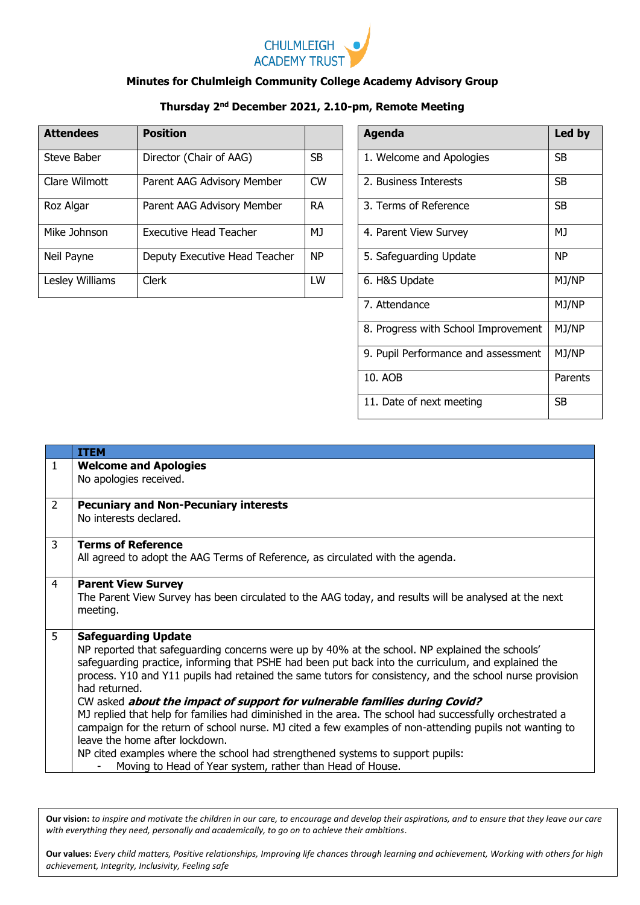

## **Minutes for Chulmleigh Community College Academy Advisory Group**

## **Thursday 2nd December 2021, 2.10-pm, Remote Meeting**

| <b>Attendees</b> | <b>Position</b>               |           | <b>Agenda</b>            | Led by    |
|------------------|-------------------------------|-----------|--------------------------|-----------|
| Steve Baber      | Director (Chair of AAG)       | <b>SB</b> | 1. Welcome and Apologies | <b>SB</b> |
| Clare Wilmott    | Parent AAG Advisory Member    | <b>CW</b> | 2. Business Interests    | <b>SB</b> |
| Roz Algar        | Parent AAG Advisory Member    | <b>RA</b> | 3. Terms of Reference    | <b>SB</b> |
| Mike Johnson     | Executive Head Teacher        | MJ.       | 4. Parent View Survey    | MJ        |
| Neil Payne       | Deputy Executive Head Teacher | <b>NP</b> | 5. Safeguarding Update   | <b>NP</b> |
| Lesley Williams  | <b>Clerk</b>                  | LW        | 6. H&S Update            | MJ/NP     |

| <b>Agenda</b>                       | Led by         |
|-------------------------------------|----------------|
| 1. Welcome and Apologies            | SB             |
| 2. Business Interests               | SB             |
| 3. Terms of Reference               | SB             |
| 4. Parent View Survey               | M <sub>J</sub> |
| 5. Safeguarding Update              | <b>NP</b>      |
| 6. H&S Update                       | MJ/NP          |
| 7. Attendance                       | MJ/NP          |
| 8. Progress with School Improvement | MJ/NP          |
| 9. Pupil Performance and assessment | MJ/NP          |
| 10. AOB                             | Parents        |
| 11. Date of next meeting            | SВ             |

|                | <b>ITEM</b>                                                                                                                                                                                                                                                                                                                                                                                                                                                                                                                                                                                                                                                                                                                                                                                                                                            |
|----------------|--------------------------------------------------------------------------------------------------------------------------------------------------------------------------------------------------------------------------------------------------------------------------------------------------------------------------------------------------------------------------------------------------------------------------------------------------------------------------------------------------------------------------------------------------------------------------------------------------------------------------------------------------------------------------------------------------------------------------------------------------------------------------------------------------------------------------------------------------------|
| 1              | <b>Welcome and Apologies</b><br>No apologies received.                                                                                                                                                                                                                                                                                                                                                                                                                                                                                                                                                                                                                                                                                                                                                                                                 |
| $\overline{2}$ | <b>Pecuniary and Non-Pecuniary interests</b><br>No interests declared.                                                                                                                                                                                                                                                                                                                                                                                                                                                                                                                                                                                                                                                                                                                                                                                 |
| 3              | <b>Terms of Reference</b><br>All agreed to adopt the AAG Terms of Reference, as circulated with the agenda.                                                                                                                                                                                                                                                                                                                                                                                                                                                                                                                                                                                                                                                                                                                                            |
| 4              | <b>Parent View Survey</b><br>The Parent View Survey has been circulated to the AAG today, and results will be analysed at the next<br>meeting.                                                                                                                                                                                                                                                                                                                                                                                                                                                                                                                                                                                                                                                                                                         |
| 5              | <b>Safeguarding Update</b><br>NP reported that safeguarding concerns were up by 40% at the school. NP explained the schools'<br>safeguarding practice, informing that PSHE had been put back into the curriculum, and explained the<br>process. Y10 and Y11 pupils had retained the same tutors for consistency, and the school nurse provision<br>had returned.<br>CW asked about the impact of support for vulnerable families during Covid?<br>MJ replied that help for families had diminished in the area. The school had successfully orchestrated a<br>campaign for the return of school nurse. MJ cited a few examples of non-attending pupils not wanting to<br>leave the home after lockdown.<br>NP cited examples where the school had strengthened systems to support pupils:<br>Moving to Head of Year system, rather than Head of House. |

**Our vision:** *to inspire and motivate the children in our care, to encourage and develop their aspirations, and to ensure that they leave our care with everything they need, personally and academically, to go on to achieve their ambitions*.

**Our values:** *Every child matters, Positive relationships, Improving life chances through learning and achievement, Working with others for high achievement, Integrity, Inclusivity, Feeling safe*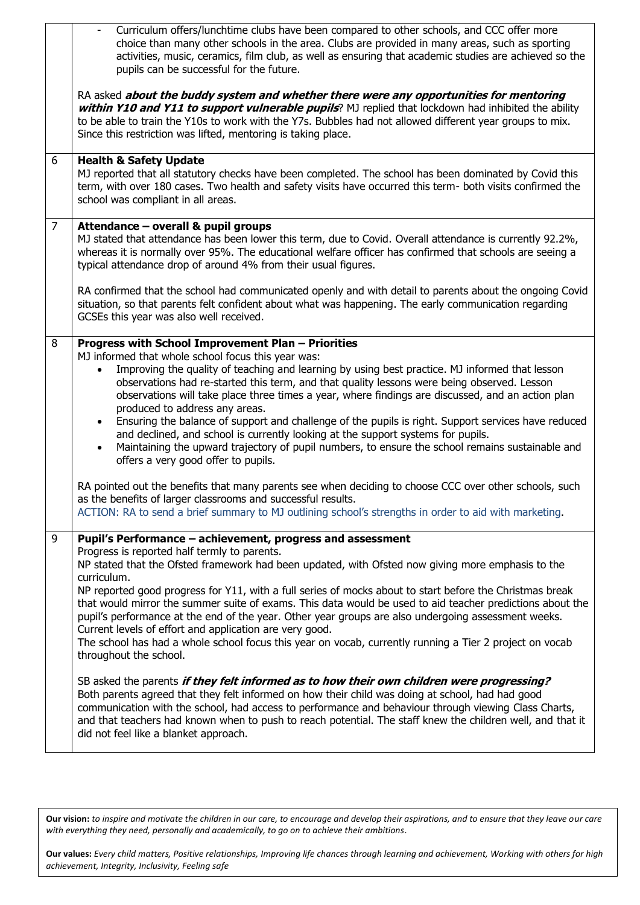|                | Curriculum offers/lunchtime clubs have been compared to other schools, and CCC offer more<br>choice than many other schools in the area. Clubs are provided in many areas, such as sporting<br>activities, music, ceramics, film club, as well as ensuring that academic studies are achieved so the<br>pupils can be successful for the future.                                                                                                                                                                                                                                                                                                                                        |
|----------------|-----------------------------------------------------------------------------------------------------------------------------------------------------------------------------------------------------------------------------------------------------------------------------------------------------------------------------------------------------------------------------------------------------------------------------------------------------------------------------------------------------------------------------------------------------------------------------------------------------------------------------------------------------------------------------------------|
|                | RA asked about the buddy system and whether there were any opportunities for mentoring<br>within Y10 and Y11 to support vulnerable pupils? MJ replied that lockdown had inhibited the ability<br>to be able to train the Y10s to work with the Y7s. Bubbles had not allowed different year groups to mix.<br>Since this restriction was lifted, mentoring is taking place.                                                                                                                                                                                                                                                                                                              |
| 6              | <b>Health &amp; Safety Update</b><br>MJ reported that all statutory checks have been completed. The school has been dominated by Covid this<br>term, with over 180 cases. Two health and safety visits have occurred this term- both visits confirmed the<br>school was compliant in all areas.                                                                                                                                                                                                                                                                                                                                                                                         |
| $\overline{7}$ | Attendance - overall & pupil groups<br>MJ stated that attendance has been lower this term, due to Covid. Overall attendance is currently 92.2%,<br>whereas it is normally over 95%. The educational welfare officer has confirmed that schools are seeing a<br>typical attendance drop of around 4% from their usual figures.                                                                                                                                                                                                                                                                                                                                                           |
|                | RA confirmed that the school had communicated openly and with detail to parents about the ongoing Covid<br>situation, so that parents felt confident about what was happening. The early communication regarding<br>GCSEs this year was also well received.                                                                                                                                                                                                                                                                                                                                                                                                                             |
| 8              | Progress with School Improvement Plan - Priorities<br>MJ informed that whole school focus this year was:                                                                                                                                                                                                                                                                                                                                                                                                                                                                                                                                                                                |
|                | Improving the quality of teaching and learning by using best practice. MJ informed that lesson<br>observations had re-started this term, and that quality lessons were being observed. Lesson<br>observations will take place three times a year, where findings are discussed, and an action plan<br>produced to address any areas.<br>Ensuring the balance of support and challenge of the pupils is right. Support services have reduced<br>$\bullet$<br>and declined, and school is currently looking at the support systems for pupils.<br>Maintaining the upward trajectory of pupil numbers, to ensure the school remains sustainable and<br>offers a very good offer to pupils. |
|                | RA pointed out the benefits that many parents see when deciding to choose CCC over other schools, such<br>as the benefits of larger classrooms and successful results.<br>ACTION: RA to send a brief summary to MJ outlining school's strengths in order to aid with marketing.                                                                                                                                                                                                                                                                                                                                                                                                         |
| 9              | Pupil's Performance - achievement, progress and assessment                                                                                                                                                                                                                                                                                                                                                                                                                                                                                                                                                                                                                              |
|                | Progress is reported half termly to parents.<br>NP stated that the Ofsted framework had been updated, with Ofsted now giving more emphasis to the                                                                                                                                                                                                                                                                                                                                                                                                                                                                                                                                       |
|                | curriculum.<br>NP reported good progress for Y11, with a full series of mocks about to start before the Christmas break<br>that would mirror the summer suite of exams. This data would be used to aid teacher predictions about the<br>pupil's performance at the end of the year. Other year groups are also undergoing assessment weeks.<br>Current levels of effort and application are very good.<br>The school has had a whole school focus this year on vocab, currently running a Tier 2 project on vocab<br>throughout the school.                                                                                                                                             |
|                | SB asked the parents if they felt informed as to how their own children were progressing?<br>Both parents agreed that they felt informed on how their child was doing at school, had had good<br>communication with the school, had access to performance and behaviour through viewing Class Charts,<br>and that teachers had known when to push to reach potential. The staff knew the children well, and that it<br>did not feel like a blanket approach.                                                                                                                                                                                                                            |

**Our vision:** *to inspire and motivate the children in our care, to encourage and develop their aspirations, and to ensure that they leave our care with everything they need, personally and academically, to go on to achieve their ambitions*.

**Our values:** *Every child matters, Positive relationships, Improving life chances through learning and achievement, Working with others for high achievement, Integrity, Inclusivity, Feeling safe*